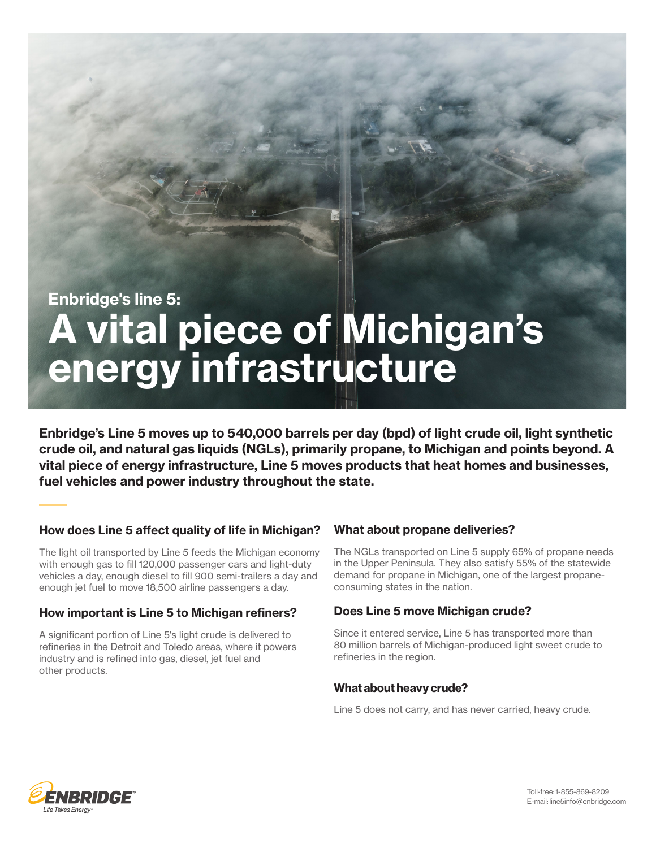# Enbridge's line 5:<br>A vital piece of Michigan's energy infrastructure

Enbridge's Line 5 moves up to 540,000 barrels per day (bpd) of light crude oil, light synthetic crude oil, and natural gas liquids (NGLs), primarily propane, to Michigan and points beyond. A vital piece of energy infrastructure, Line 5 moves products that heat homes and businesses, fuel vehicles and power industry throughout the state.

# How does Line 5 affect quality of life in Michigan?

The light oil transported by Line 5 feeds the Michigan economy with enough gas to fill 120,000 passenger cars and light-duty vehicles a day, enough diesel to fill 900 semi-trailers a day and enough jet fuel to move 18,500 airline passengers a day.

# How important is Line 5 to Michigan refiners?

A significant portion of Line 5's light crude is delivered to refineries in the Detroit and Toledo areas, where it powers industry and is refined into gas, diesel, jet fuel and other products.

# What about propane deliveries?

The NGLs transported on Line 5 supply 65% of propane needs in the Upper Peninsula. They also satisfy 55% of the statewide demand for propane in Michigan, one of the largest propaneconsuming states in the nation.

# Does Line 5 move Michigan crude?

Since it entered service, Line 5 has transported more than 80 million barrels of Michigan-produced light sweet crude to refineries in the region.

# What about heavy crude?

Line 5 does not carry, and has never carried, heavy crude.